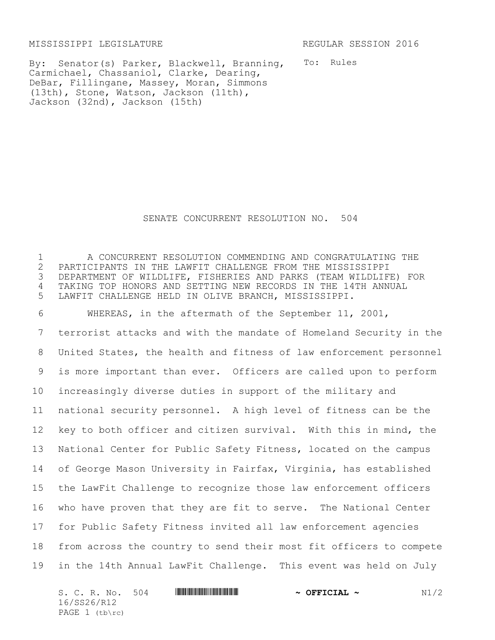MISSISSIPPI LEGISLATURE REGULAR SESSION 2016

By: Senator(s) Parker, Blackwell, Branning, To: Rules Carmichael, Chassaniol, Clarke, Dearing, DeBar, Fillingane, Massey, Moran, Simmons (13th), Stone, Watson, Jackson (11th), Jackson (32nd), Jackson (15th)

## SENATE CONCURRENT RESOLUTION NO. 504

 A CONCURRENT RESOLUTION COMMENDING AND CONGRATULATING THE 2 PARTICIPANTS IN THE LAWFIT CHALLENGE FROM THE MISSISSIPPI<br>3 DEPARTMENT OF WILDLIFE, FISHERIES AND PARKS (TEAM WILDLIF DEPARTMENT OF WILDLIFE, FISHERIES AND PARKS (TEAM WILDLIFE) FOR TAKING TOP HONORS AND SETTING NEW RECORDS IN THE 14TH ANNUAL LAWFIT CHALLENGE HELD IN OLIVE BRANCH, MISSISSIPPI. WHEREAS, in the aftermath of the September 11, 2001, terrorist attacks and with the mandate of Homeland Security in the United States, the health and fitness of law enforcement personnel is more important than ever. Officers are called upon to perform increasingly diverse duties in support of the military and national security personnel. A high level of fitness can be the key to both officer and citizen survival. With this in mind, the National Center for Public Safety Fitness, located on the campus of George Mason University in Fairfax, Virginia, has established the LawFit Challenge to recognize those law enforcement officers who have proven that they are fit to serve. The National Center for Public Safety Fitness invited all law enforcement agencies from across the country to send their most fit officers to compete in the 14th Annual LawFit Challenge. This event was held on July

| S. C. R. No. 504 |  | $\sim$ OFFICIAL $\sim$ | N1/2 |
|------------------|--|------------------------|------|
| 16/SS26/R12      |  |                        |      |
| PAGE $1$ (tb\rc) |  |                        |      |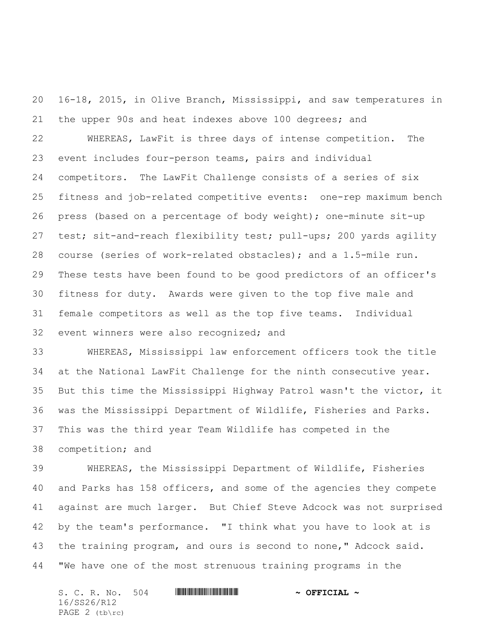16-18, 2015, in Olive Branch, Mississippi, and saw temperatures in the upper 90s and heat indexes above 100 degrees; and

 WHEREAS, LawFit is three days of intense competition. The event includes four-person teams, pairs and individual competitors. The LawFit Challenge consists of a series of six fitness and job-related competitive events: one-rep maximum bench press (based on a percentage of body weight); one-minute sit-up test; sit-and-reach flexibility test; pull-ups; 200 yards agility course (series of work-related obstacles); and a 1.5-mile run. These tests have been found to be good predictors of an officer's fitness for duty. Awards were given to the top five male and female competitors as well as the top five teams. Individual event winners were also recognized; and

 WHEREAS, Mississippi law enforcement officers took the title at the National LawFit Challenge for the ninth consecutive year. But this time the Mississippi Highway Patrol wasn't the victor, it was the Mississippi Department of Wildlife, Fisheries and Parks. This was the third year Team Wildlife has competed in the competition; and

 WHEREAS, the Mississippi Department of Wildlife, Fisheries and Parks has 158 officers, and some of the agencies they compete against are much larger. But Chief Steve Adcock was not surprised by the team's performance. "I think what you have to look at is the training program, and ours is second to none," Adcock said. "We have one of the most strenuous training programs in the

S. C. R. No. 504 **WILLIAM CONTRACT + OFFICIAL ~** 16/SS26/R12 PAGE (tb\rc)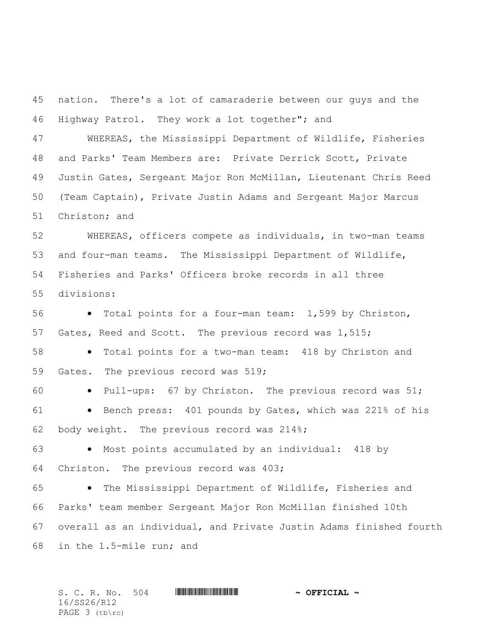nation. There's a lot of camaraderie between our guys and the Highway Patrol. They work a lot together"; and

 WHEREAS, the Mississippi Department of Wildlife, Fisheries and Parks' Team Members are: Private Derrick Scott, Private Justin Gates, Sergeant Major Ron McMillan, Lieutenant Chris Reed (Team Captain), Private Justin Adams and Sergeant Major Marcus Christon; and

 WHEREAS, officers compete as individuals, in two-man teams and four-man teams. The Mississippi Department of Wildlife, Fisheries and Parks' Officers broke records in all three divisions:

 Total points for a four-man team: 1,599 by Christon, Gates, Reed and Scott. The previous record was 1,515;

58 • Total points for a two-man team: 418 by Christon and Gates. The previous record was 519;

60 • Pull-ups: 67 by Christon. The previous record was 51; 61 • Bench press: 401 pounds by Gates, which was 221% of his body weight. The previous record was 214%;

63 • Most points accumulated by an individual: 418 by Christon. The previous record was 403;

 The Mississippi Department of Wildlife, Fisheries and Parks' team member Sergeant Major Ron McMillan finished 10th overall as an individual, and Private Justin Adams finished fourth in the 1.5-mile run; and

|  | S. C. R. No. 504 | <u> III de la provincia de la provincia de la provincia del t</u> | $\sim$ OFFICIAL $\sim$ |  |
|--|------------------|-------------------------------------------------------------------|------------------------|--|
|  | 16/SS26/R12      |                                                                   |                        |  |
|  | PAGE 3 (tb\rc)   |                                                                   |                        |  |